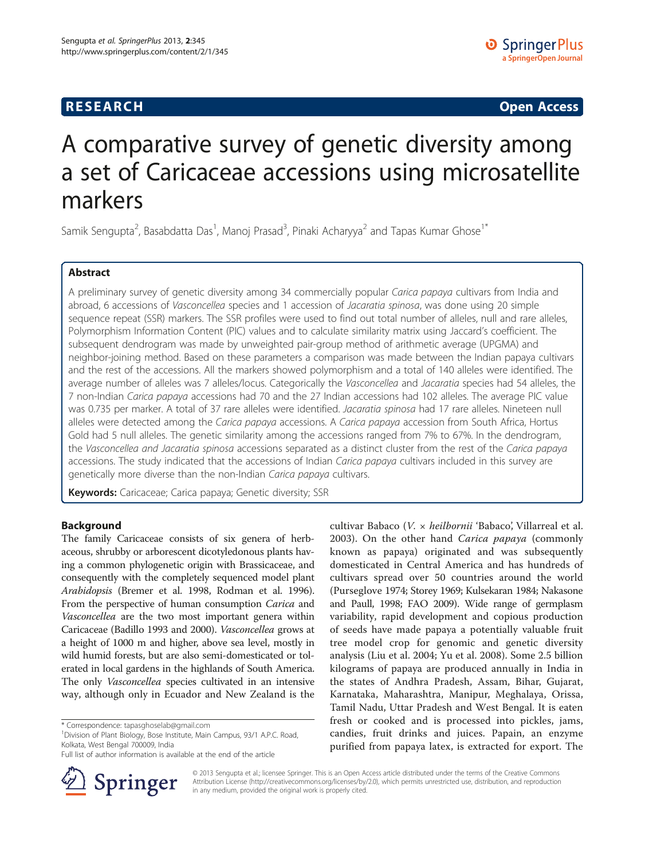## **RESEARCH CHINESE ARCH CHINESE ARCH CHINESE ARCH <b>CHINESE ARCH**

# A comparative survey of genetic diversity among a set of Caricaceae accessions using microsatellite markers

Samik Sengupta<sup>2</sup>, Basabdatta Das<sup>1</sup>, Manoj Prasad<sup>3</sup>, Pinaki Acharyya<sup>2</sup> and Tapas Kumar Ghose<sup>1\*</sup>

## Abstract

A preliminary survey of genetic diversity among 34 commercially popular Carica papaya cultivars from India and abroad, 6 accessions of Vasconcellea species and 1 accession of Jacaratia spinosa, was done using 20 simple sequence repeat (SSR) markers. The SSR profiles were used to find out total number of alleles, null and rare alleles, Polymorphism Information Content (PIC) values and to calculate similarity matrix using Jaccard's coefficient. The subsequent dendrogram was made by unweighted pair-group method of arithmetic average (UPGMA) and neighbor-joining method. Based on these parameters a comparison was made between the Indian papaya cultivars and the rest of the accessions. All the markers showed polymorphism and a total of 140 alleles were identified. The average number of alleles was 7 alleles/locus. Categorically the Vasconcellea and Jacaratia species had 54 alleles, the 7 non-Indian Carica papaya accessions had 70 and the 27 Indian accessions had 102 alleles. The average PIC value was 0.735 per marker. A total of 37 rare alleles were identified. Jacaratia spinosa had 17 rare alleles. Nineteen null alleles were detected among the Carica papaya accessions. A Carica papaya accession from South Africa, Hortus Gold had 5 null alleles. The genetic similarity among the accessions ranged from 7% to 67%. In the dendrogram, the Vasconcellea and Jacaratia spinosa accessions separated as a distinct cluster from the rest of the Carica papaya accessions. The study indicated that the accessions of Indian Carica papaya cultivars included in this survey are genetically more diverse than the non-Indian Carica papaya cultivars.

Keywords: Caricaceae; Carica papaya; Genetic diversity; SSR

## Background

The family Caricaceae consists of six genera of herbaceous, shrubby or arborescent dicotyledonous plants having a common phylogenetic origin with Brassicaceae, and consequently with the completely sequenced model plant Arabidopsis (Bremer et al. [1998,](#page-9-0) Rodman et al. [1996](#page-9-0)). From the perspective of human consumption Carica and Vasconcellea are the two most important genera within Caricaceae (Badillo [1993](#page-9-0) and [2000](#page-9-0)). Vasconcellea grows at a height of 1000 m and higher, above sea level, mostly in wild humid forests, but are also semi-domesticated or tolerated in local gardens in the highlands of South America. The only Vasconcellea species cultivated in an intensive way, although only in Ecuador and New Zealand is the

<sup>1</sup> Division of Plant Biology, Bose Institute, Main Campus, 93/1 A.P.C. Road, Kolkata, West Bengal 700009, India

Full list of author information is available at the end of the article



cultivar Babaco (V. × heilbornii 'Babaco', Villarreal et al. [2003\)](#page-9-0). On the other hand Carica papaya (commonly known as papaya) originated and was subsequently domesticated in Central America and has hundreds of cultivars spread over 50 countries around the world (Purseglove [1974;](#page-9-0) Storey [1969](#page-9-0); Kulsekaran [1984](#page-9-0); Nakasone and Paull, [1998;](#page-9-0) FAO [2009](#page-9-0)). Wide range of germplasm variability, rapid development and copious production of seeds have made papaya a potentially valuable fruit tree model crop for genomic and genetic diversity analysis (Liu et al. [2004;](#page-9-0) Yu et al. [2008](#page-9-0)). Some 2.5 billion kilograms of papaya are produced annually in India in the states of Andhra Pradesh, Assam, Bihar, Gujarat, Karnataka, Maharashtra, Manipur, Meghalaya, Orissa, Tamil Nadu, Uttar Pradesh and West Bengal. It is eaten fresh or cooked and is processed into pickles, jams, candies, fruit drinks and juices. Papain, an enzyme purified from papaya latex, is extracted for export. The

© 2013 Sengupta et al.; licensee Springer. This is an Open Access article distributed under the terms of the Creative Commons Attribution License [\(http://creativecommons.org/licenses/by/2.0\)](http://creativecommons.org/licenses/by/2.0), which permits unrestricted use, distribution, and reproduction in any medium, provided the original work is properly cited.

<sup>\*</sup> Correspondence: [tapasghoselab@gmail.com](mailto:tapasghoselab@gmail.com) <sup>1</sup>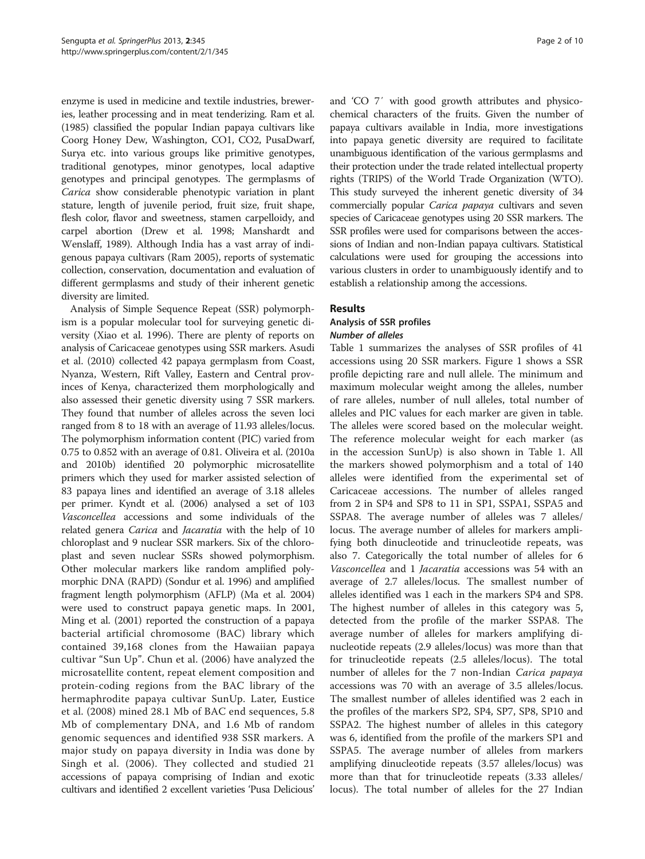enzyme is used in medicine and textile industries, breweries, leather processing and in meat tenderizing. Ram et al. ([1985\)](#page-9-0) classified the popular Indian papaya cultivars like Coorg Honey Dew, Washington, CO1, CO2, PusaDwarf, Surya etc. into various groups like primitive genotypes, traditional genotypes, minor genotypes, local adaptive genotypes and principal genotypes. The germplasms of Carica show considerable phenotypic variation in plant stature, length of juvenile period, fruit size, fruit shape, flesh color, flavor and sweetness, stamen carpelloidy, and carpel abortion (Drew et al. [1998](#page-9-0); Manshardt and Wenslaff, [1989](#page-9-0)). Although India has a vast array of indigenous papaya cultivars (Ram [2005\)](#page-9-0), reports of systematic collection, conservation, documentation and evaluation of different germplasms and study of their inherent genetic diversity are limited.

Analysis of Simple Sequence Repeat (SSR) polymorphism is a popular molecular tool for surveying genetic diversity (Xiao et al. [1996\)](#page-9-0). There are plenty of reports on analysis of Caricaceae genotypes using SSR markers. Asudi et al. ([2010\)](#page-9-0) collected 42 papaya germplasm from Coast, Nyanza, Western, Rift Valley, Eastern and Central provinces of Kenya, characterized them morphologically and also assessed their genetic diversity using 7 SSR markers. They found that number of alleles across the seven loci ranged from 8 to 18 with an average of 11.93 alleles/locus. The polymorphism information content (PIC) varied from 0.75 to 0.852 with an average of 0.81. Oliveira et al. [\(2010a](#page-9-0) and [2010b\)](#page-9-0) identified 20 polymorphic microsatellite primers which they used for marker assisted selection of 83 papaya lines and identified an average of 3.18 alleles per primer. Kyndt et al. ([2006\)](#page-9-0) analysed a set of 103 Vasconcellea accessions and some individuals of the related genera Carica and Jacaratia with the help of 10 chloroplast and 9 nuclear SSR markers. Six of the chloroplast and seven nuclear SSRs showed polymorphism. Other molecular markers like random amplified polymorphic DNA (RAPD) (Sondur et al. [1996](#page-9-0)) and amplified fragment length polymorphism (AFLP) (Ma et al. [2004](#page-9-0)) were used to construct papaya genetic maps. In 2001, Ming et al. ([2001\)](#page-9-0) reported the construction of a papaya bacterial artificial chromosome (BAC) library which contained 39,168 clones from the Hawaiian papaya cultivar "Sun Up". Chun et al. [\(2006\)](#page-9-0) have analyzed the microsatellite content, repeat element composition and protein-coding regions from the BAC library of the hermaphrodite papaya cultivar SunUp. Later, Eustice et al. [\(2008\)](#page-9-0) mined 28.1 Mb of BAC end sequences, 5.8 Mb of complementary DNA, and 1.6 Mb of random genomic sequences and identified 938 SSR markers. A major study on papaya diversity in India was done by Singh et al. [\(2006\)](#page-9-0). They collected and studied 21 accessions of papaya comprising of Indian and exotic cultivars and identified 2 excellent varieties 'Pusa Delicious'

and 'CO 7′ with good growth attributes and physicochemical characters of the fruits. Given the number of papaya cultivars available in India, more investigations into papaya genetic diversity are required to facilitate unambiguous identification of the various germplasms and their protection under the trade related intellectual property rights (TRIPS) of the World Trade Organization (WTO). This study surveyed the inherent genetic diversity of 34 commercially popular Carica papaya cultivars and seven species of Caricaceae genotypes using 20 SSR markers. The SSR profiles were used for comparisons between the accessions of Indian and non-Indian papaya cultivars. Statistical calculations were used for grouping the accessions into various clusters in order to unambiguously identify and to establish a relationship among the accessions.

## Results

## Analysis of SSR profiles Number of alleles

Table [1](#page-2-0) summarizes the analyses of SSR profiles of 41 accessions using 20 SSR markers. Figure [1](#page-2-0) shows a SSR profile depicting rare and null allele. The minimum and maximum molecular weight among the alleles, number of rare alleles, number of null alleles, total number of alleles and PIC values for each marker are given in table. The alleles were scored based on the molecular weight. The reference molecular weight for each marker (as in the accession SunUp) is also shown in Table [1.](#page-2-0) All the markers showed polymorphism and a total of 140 alleles were identified from the experimental set of Caricaceae accessions. The number of alleles ranged from 2 in SP4 and SP8 to 11 in SP1, SSPA1, SSPA5 and SSPA8. The average number of alleles was 7 alleles/ locus. The average number of alleles for markers amplifying both dinucleotide and trinucleotide repeats, was also 7. Categorically the total number of alleles for 6 Vasconcellea and 1 Jacaratia accessions was 54 with an average of 2.7 alleles/locus. The smallest number of alleles identified was 1 each in the markers SP4 and SP8. The highest number of alleles in this category was 5, detected from the profile of the marker SSPA8. The average number of alleles for markers amplifying dinucleotide repeats (2.9 alleles/locus) was more than that for trinucleotide repeats (2.5 alleles/locus). The total number of alleles for the 7 non-Indian Carica papaya accessions was 70 with an average of 3.5 alleles/locus. The smallest number of alleles identified was 2 each in the profiles of the markers SP2, SP4, SP7, SP8, SP10 and SSPA2. The highest number of alleles in this category was 6, identified from the profile of the markers SP1 and SSPA5. The average number of alleles from markers amplifying dinucleotide repeats (3.57 alleles/locus) was more than that for trinucleotide repeats (3.33 alleles/ locus). The total number of alleles for the 27 Indian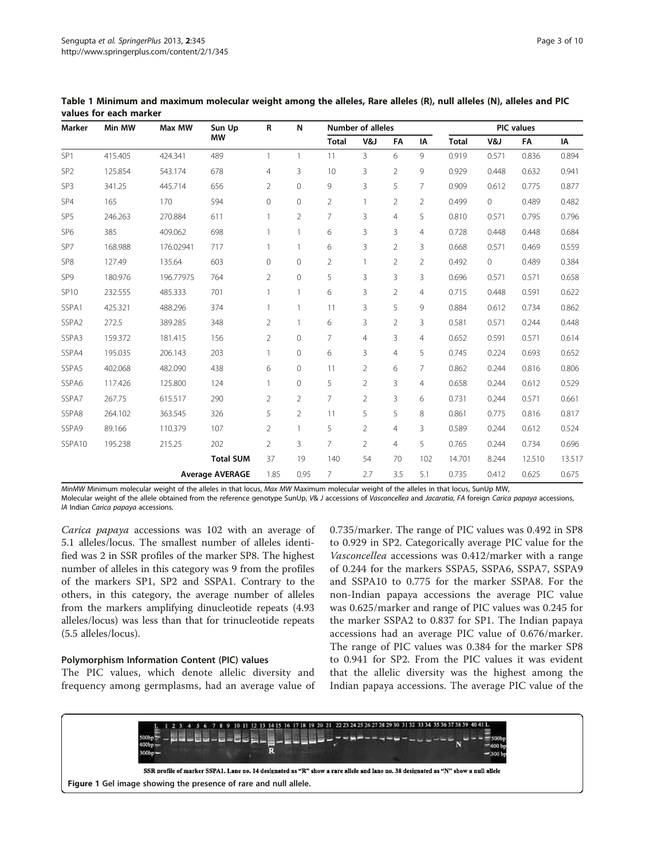| Marker            | Min MW  | Max MW    | Sun Up                 | $\mathsf R$    | N              | <b>Number of alleles</b> |                |                |                | <b>PIC</b> values |                |        |        |
|-------------------|---------|-----------|------------------------|----------------|----------------|--------------------------|----------------|----------------|----------------|-------------------|----------------|--------|--------|
|                   |         |           | <b>MW</b>              |                |                | <b>Total</b>             | V&J            | FA             | ΙA             | <b>Total</b>      | V&J            | FA     | IA     |
| SP <sub>1</sub>   | 415.405 | 424.341   | 489                    | 1              | 1              | 11                       | $\overline{3}$ | 6              | 9              | 0.919             | 0.571          | 0.836  | 0.894  |
| SP <sub>2</sub>   | 125.854 | 543.174   | 678                    | $\overline{4}$ | 3              | 10                       | 3              | $\overline{2}$ | 9              | 0.929             | 0.448          | 0.632  | 0.941  |
| SP3               | 341.25  | 445.714   | 656                    | $\overline{2}$ | 0              | 9                        | 3              | 5              | $\overline{7}$ | 0.909             | 0.612          | 0.775  | 0.877  |
| SP4               | 165     | 170       | 594                    | $\mathbf 0$    | 0              | $\overline{2}$           | $\mathbf{1}$   | $\overline{2}$ | $\overline{2}$ | 0.499             | $\circ$        | 0.489  | 0.482  |
| SP5               | 246.263 | 270.884   | 611                    | 1              | $\overline{2}$ | 7                        | 3              | $\overline{4}$ | 5              | 0.810             | 0.571          | 0.795  | 0.796  |
| SP <sub>6</sub>   | 385     | 409.062   | 698                    | $\mathbf{1}$   | $\mathbf{1}$   | 6                        | 3              | 3              | $\overline{4}$ | 0.728             | 0.448          | 0.448  | 0.684  |
| SP7               | 168.988 | 176.02941 | 717                    | $\mathbf{1}$   | $\mathbf{1}$   | 6                        | 3              | $\overline{2}$ | 3              | 0.668             | 0.571          | 0.469  | 0.559  |
| SP <sub>8</sub>   | 127.49  | 135.64    | 603                    | $\mathbf 0$    | $\mathbf{0}$   | $\overline{2}$           | $\mathbf{1}$   | $\overline{2}$ | $\overline{2}$ | 0.492             | $\overline{0}$ | 0.489  | 0.384  |
| SP9               | 180.976 | 196.77975 | 764                    | $\overline{2}$ | $\mathbf 0$    | 5                        | 3              | 3              | 3              | 0.696             | 0.571          | 0.571  | 0.658  |
| <b>SP10</b>       | 232.555 | 485.333   | 701                    | $\mathbf{1}$   | 1              | 6                        | 3              | $\overline{2}$ | $\overline{4}$ | 0.715             | 0.448          | 0.591  | 0.622  |
| SSPA1             | 425.321 | 488.296   | 374                    |                | 1              | 11                       | 3              | 5              | 9              | 0.884             | 0.612          | 0.734  | 0.862  |
| SSPA <sub>2</sub> | 272.5   | 389.285   | 348                    | $\overline{2}$ | 1              | 6                        | 3              | $\overline{2}$ | 3              | 0.581             | 0.571          | 0.244  | 0.448  |
| SSPA3             | 159.372 | 181.415   | 156                    | $\overline{2}$ | 0              | $\overline{7}$           | $\overline{4}$ | 3              | $\overline{4}$ | 0.652             | 0.591          | 0.571  | 0.614  |
| SSPA4             | 195.035 | 206.143   | 203                    | 1              | $\mathbf 0$    | 6                        | 3              | 4              | 5              | 0.745             | 0.224          | 0.693  | 0.652  |
| SSPA5             | 402.068 | 482.090   | 438                    | 6              | 0              | 11                       | $\overline{2}$ | 6              | $\overline{7}$ | 0.862             | 0.244          | 0.816  | 0.806  |
| SSPA6             | 117.426 | 125.800   | 124                    | $\mathbf{1}$   | 0              | 5                        | $\overline{2}$ | 3              | $\overline{4}$ | 0.658             | 0.244          | 0.612  | 0.529  |
| SSPA7             | 267.75  | 615.517   | 290                    | $\overline{2}$ | $\overline{2}$ | $\overline{7}$           | $\overline{2}$ | 3              | 6              | 0.731             | 0.244          | 0.571  | 0.661  |
| SSPA8             | 264.102 | 363.545   | 326                    | 5              | $\overline{2}$ | 11                       | 5              | 5              | 8              | 0.861             | 0.775          | 0.816  | 0.817  |
| SSPA9             | 89.166  | 110.379   | 107                    | $\overline{2}$ | 1              | 5                        | $\overline{2}$ | $\overline{4}$ | 3              | 0.589             | 0.244          | 0.612  | 0.524  |
| SSPA10            | 195.238 | 215.25    | 202                    | $\overline{2}$ | 3              | $\overline{7}$           | $\overline{2}$ | $\overline{4}$ | 5              | 0.765             | 0.244          | 0.734  | 0.696  |
|                   |         |           | <b>Total SUM</b>       | 37             | 19             | 140                      | 54             | 70             | 102            | 14.701            | 8.244          | 12.510 | 13.517 |
|                   |         |           | <b>Average AVERAGE</b> | 1.85           | 0.95           | $\overline{7}$           | 2.7            | 3.5            | 5.1            | 0.735             | 0.412          | 0.625  | 0.675  |

<span id="page-2-0"></span>Table 1 Minimum and maximum molecular weight among the alleles, Rare alleles (R), null alleles (N), alleles and PIC values for each marker

MinMW Minimum molecular weight of the alleles in that locus, Max MW Maximum molecular weight of the alleles in that locus, SunUp MW, Molecular weight of the allele obtained from the reference genotype SunUp, V& J accessions of Vasconcellea and Jacaratia, FA foreign Carica papaya accessions, IA Indian Carica papaya accessions.

Carica papaya accessions was 102 with an average of 5.1 alleles/locus. The smallest number of alleles identified was 2 in SSR profiles of the marker SP8. The highest number of alleles in this category was 9 from the profiles of the markers SP1, SP2 and SSPA1. Contrary to the others, in this category, the average number of alleles from the markers amplifying dinucleotide repeats (4.93 alleles/locus) was less than that for trinucleotide repeats (5.5 alleles/locus).

#### Polymorphism Information Content (PIC) values

The PIC values, which denote allelic diversity and frequency among germplasms, had an average value of 0.735/marker. The range of PIC values was 0.492 in SP8 to 0.929 in SP2. Categorically average PIC value for the Vasconcellea accessions was 0.412/marker with a range of 0.244 for the markers SSPA5, SSPA6, SSPA7, SSPA9 and SSPA10 to 0.775 for the marker SSPA8. For the non-Indian papaya accessions the average PIC value was 0.625/marker and range of PIC values was 0.245 for the marker SSPA2 to 0.837 for SP1. The Indian papaya accessions had an average PIC value of 0.676/marker. The range of PIC values was 0.384 for the marker SP8 to 0.941 for SP2. From the PIC values it was evident that the allelic diversity was the highest among the Indian papaya accessions. The average PIC value of the

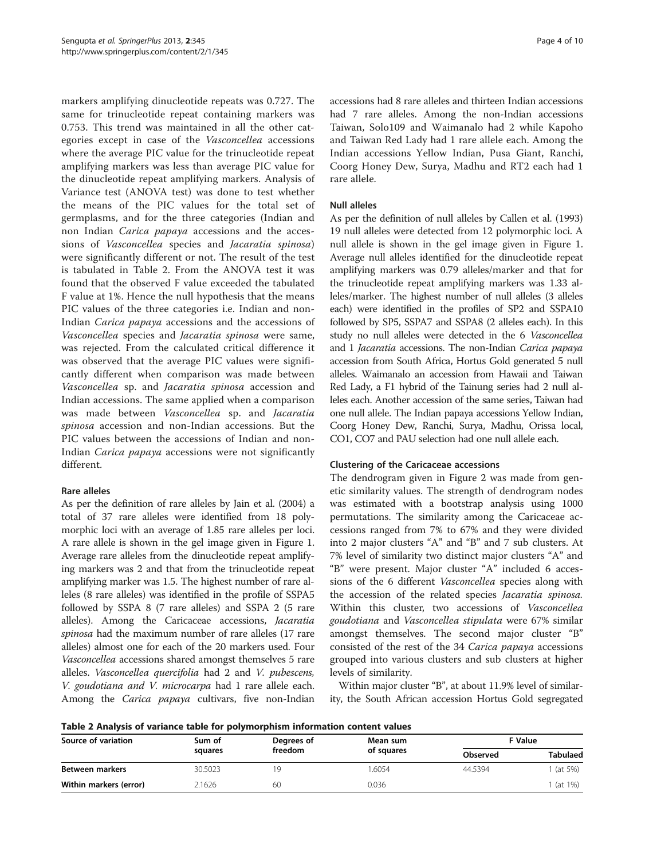markers amplifying dinucleotide repeats was 0.727. The same for trinucleotide repeat containing markers was 0.753. This trend was maintained in all the other categories except in case of the Vasconcellea accessions where the average PIC value for the trinucleotide repeat amplifying markers was less than average PIC value for the dinucleotide repeat amplifying markers. Analysis of Variance test (ANOVA test) was done to test whether the means of the PIC values for the total set of germplasms, and for the three categories (Indian and non Indian Carica papaya accessions and the accessions of Vasconcellea species and Jacaratia spinosa) were significantly different or not. The result of the test is tabulated in Table 2. From the ANOVA test it was found that the observed F value exceeded the tabulated F value at 1%. Hence the null hypothesis that the means PIC values of the three categories i.e. Indian and non-Indian Carica papaya accessions and the accessions of Vasconcellea species and Jacaratia spinosa were same, was rejected. From the calculated critical difference it was observed that the average PIC values were significantly different when comparison was made between Vasconcellea sp. and Jacaratia spinosa accession and Indian accessions. The same applied when a comparison was made between Vasconcellea sp. and Jacaratia spinosa accession and non-Indian accessions. But the PIC values between the accessions of Indian and non-Indian Carica papaya accessions were not significantly different.

## Rare alleles

As per the definition of rare alleles by Jain et al. [\(2004\)](#page-9-0) a total of 37 rare alleles were identified from 18 polymorphic loci with an average of 1.85 rare alleles per loci. A rare allele is shown in the gel image given in Figure [1](#page-2-0). Average rare alleles from the dinucleotide repeat amplifying markers was 2 and that from the trinucleotide repeat amplifying marker was 1.5. The highest number of rare alleles (8 rare alleles) was identified in the profile of SSPA5 followed by SSPA 8 (7 rare alleles) and SSPA 2 (5 rare alleles). Among the Caricaceae accessions, Jacaratia spinosa had the maximum number of rare alleles (17 rare alleles) almost one for each of the 20 markers used. Four Vasconcellea accessions shared amongst themselves 5 rare alleles. Vasconcellea quercifolia had 2 and V. pubescens, V. goudotiana and V. microcarpa had 1 rare allele each. Among the Carica papaya cultivars, five non-Indian

accessions had 8 rare alleles and thirteen Indian accessions had 7 rare alleles. Among the non-Indian accessions Taiwan, Solo109 and Waimanalo had 2 while Kapoho and Taiwan Red Lady had 1 rare allele each. Among the Indian accessions Yellow Indian, Pusa Giant, Ranchi, Coorg Honey Dew, Surya, Madhu and RT2 each had 1 rare allele.

#### Null alleles

As per the definition of null alleles by Callen et al. [\(1993](#page-9-0)) 19 null alleles were detected from 12 polymorphic loci. A null allele is shown in the gel image given in Figure [1](#page-2-0). Average null alleles identified for the dinucleotide repeat amplifying markers was 0.79 alleles/marker and that for the trinucleotide repeat amplifying markers was 1.33 alleles/marker. The highest number of null alleles (3 alleles each) were identified in the profiles of SP2 and SSPA10 followed by SP5, SSPA7 and SSPA8 (2 alleles each). In this study no null alleles were detected in the 6 Vasconcellea and 1 Jacaratia accessions. The non-Indian Carica papaya accession from South Africa, Hortus Gold generated 5 null alleles. Waimanalo an accession from Hawaii and Taiwan Red Lady, a F1 hybrid of the Tainung series had 2 null alleles each. Another accession of the same series, Taiwan had one null allele. The Indian papaya accessions Yellow Indian, Coorg Honey Dew, Ranchi, Surya, Madhu, Orissa local, CO1, CO7 and PAU selection had one null allele each.

#### Clustering of the Caricaceae accessions

The dendrogram given in Figure [2](#page-4-0) was made from genetic similarity values. The strength of dendrogram nodes was estimated with a bootstrap analysis using 1000 permutations. The similarity among the Caricaceae accessions ranged from 7% to 67% and they were divided into 2 major clusters "A" and "B" and 7 sub clusters. At 7% level of similarity two distinct major clusters "A" and "B" were present. Major cluster "A" included 6 accessions of the 6 different Vasconcellea species along with the accession of the related species Jacaratia spinosa. Within this cluster, two accessions of Vasconcellea goudotiana and Vasconcellea stipulata were 67% similar amongst themselves. The second major cluster "B" consisted of the rest of the 34 Carica papaya accessions grouped into various clusters and sub clusters at higher levels of similarity.

Within major cluster "B", at about 11.9% level of similarity, the South African accession Hortus Gold segregated

Table 2 Analysis of variance table for polymorphism information content values

| Source of variation    | Sum of  | Degrees of | Mean sum   | F Value  |                 |  |
|------------------------|---------|------------|------------|----------|-----------------|--|
|                        | squares | freedom    | of squares | Observed | <b>Tabulaed</b> |  |
| Between markers        | 30.5023 |            | .6054      | 44.5394  | 1 (at 5%)       |  |
| Within markers (error) | 2.1626  | 6С         | 0.036      |          | 1 (at 1%)       |  |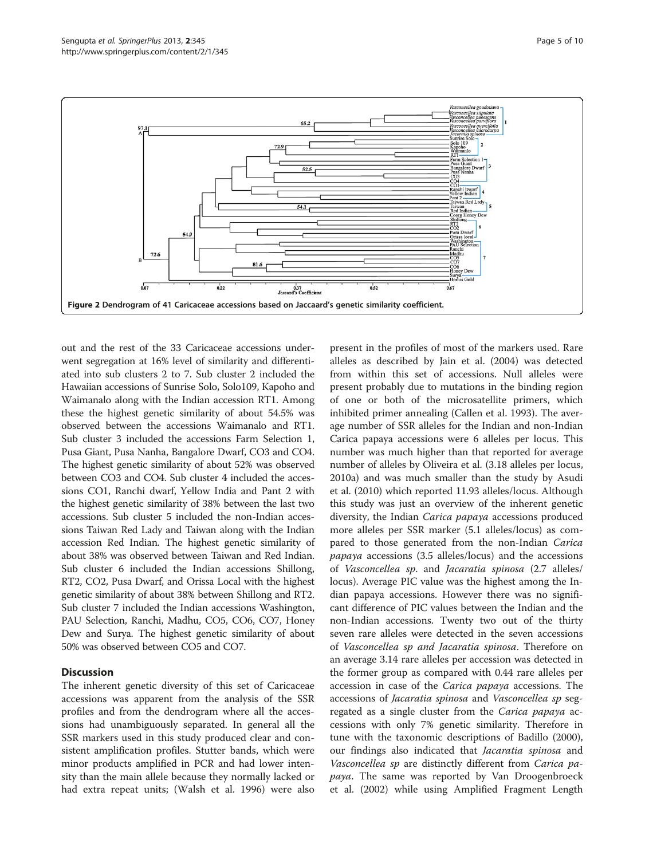<span id="page-4-0"></span>

out and the rest of the 33 Caricaceae accessions underwent segregation at 16% level of similarity and differentiated into sub clusters 2 to 7. Sub cluster 2 included the Hawaiian accessions of Sunrise Solo, Solo109, Kapoho and Waimanalo along with the Indian accession RT1. Among these the highest genetic similarity of about 54.5% was observed between the accessions Waimanalo and RT1. Sub cluster 3 included the accessions Farm Selection 1, Pusa Giant, Pusa Nanha, Bangalore Dwarf, CO3 and CO4. The highest genetic similarity of about 52% was observed between CO3 and CO4. Sub cluster 4 included the accessions CO1, Ranchi dwarf, Yellow India and Pant 2 with the highest genetic similarity of 38% between the last two accessions. Sub cluster 5 included the non-Indian accessions Taiwan Red Lady and Taiwan along with the Indian accession Red Indian. The highest genetic similarity of about 38% was observed between Taiwan and Red Indian. Sub cluster 6 included the Indian accessions Shillong, RT2, CO2, Pusa Dwarf, and Orissa Local with the highest genetic similarity of about 38% between Shillong and RT2. Sub cluster 7 included the Indian accessions Washington, PAU Selection, Ranchi, Madhu, CO5, CO6, CO7, Honey Dew and Surya. The highest genetic similarity of about 50% was observed between CO5 and CO7.

## **Discussion**

The inherent genetic diversity of this set of Caricaceae accessions was apparent from the analysis of the SSR profiles and from the dendrogram where all the accessions had unambiguously separated. In general all the SSR markers used in this study produced clear and consistent amplification profiles. Stutter bands, which were minor products amplified in PCR and had lower intensity than the main allele because they normally lacked or had extra repeat units; (Walsh et al. [1996\)](#page-9-0) were also

present in the profiles of most of the markers used. Rare alleles as described by Jain et al. [\(2004\)](#page-9-0) was detected from within this set of accessions. Null alleles were present probably due to mutations in the binding region of one or both of the microsatellite primers, which inhibited primer annealing (Callen et al. [1993](#page-9-0)). The average number of SSR alleles for the Indian and non-Indian Carica papaya accessions were 6 alleles per locus. This number was much higher than that reported for average number of alleles by Oliveira et al. (3.18 alleles per locus, [2010a\)](#page-9-0) and was much smaller than the study by Asudi et al. [\(2010\)](#page-9-0) which reported 11.93 alleles/locus. Although this study was just an overview of the inherent genetic diversity, the Indian Carica papaya accessions produced more alleles per SSR marker (5.1 alleles/locus) as compared to those generated from the non-Indian Carica papaya accessions (3.5 alleles/locus) and the accessions of Vasconcellea sp. and Jacaratia spinosa (2.7 alleles/ locus). Average PIC value was the highest among the Indian papaya accessions. However there was no significant difference of PIC values between the Indian and the non-Indian accessions. Twenty two out of the thirty seven rare alleles were detected in the seven accessions of Vasconcellea sp and Jacaratia spinosa. Therefore on an average 3.14 rare alleles per accession was detected in the former group as compared with 0.44 rare alleles per accession in case of the Carica papaya accessions. The accessions of Jacaratia spinosa and Vasconcellea sp segregated as a single cluster from the Carica papaya accessions with only 7% genetic similarity. Therefore in tune with the taxonomic descriptions of Badillo ([2000](#page-9-0)), our findings also indicated that *Jacaratia spinosa* and Vasconcellea sp are distinctly different from Carica papaya. The same was reported by Van Droogenbroeck et al. ([2002\)](#page-9-0) while using Amplified Fragment Length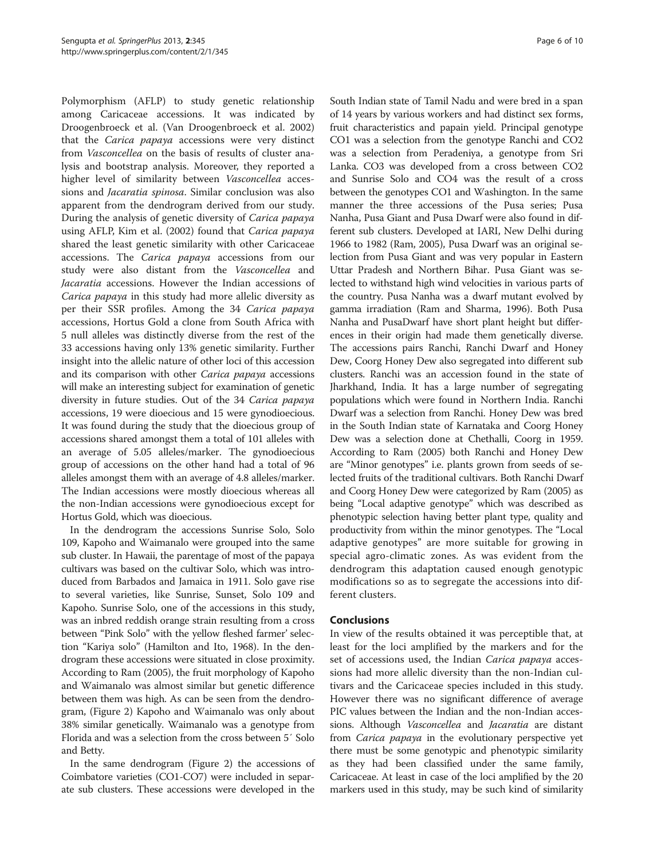Polymorphism (AFLP) to study genetic relationship among Caricaceae accessions. It was indicated by Droogenbroeck et al. (Van Droogenbroeck et al. [2002](#page-9-0)) that the Carica papaya accessions were very distinct from Vasconcellea on the basis of results of cluster analysis and bootstrap analysis. Moreover, they reported a higher level of similarity between *Vasconcellea* accessions and Jacaratia spinosa. Similar conclusion was also apparent from the dendrogram derived from our study. During the analysis of genetic diversity of Carica papaya using AFLP, Kim et al. [\(2002](#page-9-0)) found that Carica papaya shared the least genetic similarity with other Caricaceae accessions. The Carica papaya accessions from our study were also distant from the Vasconcellea and Jacaratia accessions. However the Indian accessions of Carica papaya in this study had more allelic diversity as per their SSR profiles. Among the 34 Carica papaya accessions, Hortus Gold a clone from South Africa with 5 null alleles was distinctly diverse from the rest of the 33 accessions having only 13% genetic similarity. Further insight into the allelic nature of other loci of this accession and its comparison with other Carica papaya accessions will make an interesting subject for examination of genetic diversity in future studies. Out of the 34 Carica papaya accessions, 19 were dioecious and 15 were gynodioecious. It was found during the study that the dioecious group of accessions shared amongst them a total of 101 alleles with an average of 5.05 alleles/marker. The gynodioecious group of accessions on the other hand had a total of 96 alleles amongst them with an average of 4.8 alleles/marker. The Indian accessions were mostly dioecious whereas all the non-Indian accessions were gynodioecious except for Hortus Gold, which was dioecious.

In the dendrogram the accessions Sunrise Solo, Solo 109, Kapoho and Waimanalo were grouped into the same sub cluster. In Hawaii, the parentage of most of the papaya cultivars was based on the cultivar Solo, which was introduced from Barbados and Jamaica in 1911. Solo gave rise to several varieties, like Sunrise, Sunset, Solo 109 and Kapoho. Sunrise Solo, one of the accessions in this study, was an inbred reddish orange strain resulting from a cross between "Pink Solo" with the yellow fleshed farmer' selection "Kariya solo" (Hamilton and Ito, [1968\)](#page-9-0). In the dendrogram these accessions were situated in close proximity. According to Ram ([2005\)](#page-9-0), the fruit morphology of Kapoho and Waimanalo was almost similar but genetic difference between them was high. As can be seen from the dendrogram, (Figure [2\)](#page-4-0) Kapoho and Waimanalo was only about 38% similar genetically. Waimanalo was a genotype from Florida and was a selection from the cross between 5′ Solo and Betty.

In the same dendrogram (Figure [2\)](#page-4-0) the accessions of Coimbatore varieties (CO1-CO7) were included in separate sub clusters. These accessions were developed in the South Indian state of Tamil Nadu and were bred in a span of 14 years by various workers and had distinct sex forms, fruit characteristics and papain yield. Principal genotype CO1 was a selection from the genotype Ranchi and CO2 was a selection from Peradeniya, a genotype from Sri Lanka. CO3 was developed from a cross between CO2 and Sunrise Solo and CO4 was the result of a cross between the genotypes CO1 and Washington. In the same manner the three accessions of the Pusa series; Pusa Nanha, Pusa Giant and Pusa Dwarf were also found in different sub clusters. Developed at IARI, New Delhi during 1966 to 1982 (Ram, [2005](#page-9-0)), Pusa Dwarf was an original selection from Pusa Giant and was very popular in Eastern Uttar Pradesh and Northern Bihar. Pusa Giant was selected to withstand high wind velocities in various parts of the country. Pusa Nanha was a dwarf mutant evolved by gamma irradiation (Ram and Sharma, [1996\)](#page-9-0). Both Pusa Nanha and PusaDwarf have short plant height but differences in their origin had made them genetically diverse. The accessions pairs Ranchi, Ranchi Dwarf and Honey Dew, Coorg Honey Dew also segregated into different sub clusters. Ranchi was an accession found in the state of Jharkhand, India. It has a large number of segregating populations which were found in Northern India. Ranchi Dwarf was a selection from Ranchi. Honey Dew was bred in the South Indian state of Karnataka and Coorg Honey Dew was a selection done at Chethalli, Coorg in 1959. According to Ram [\(2005](#page-9-0)) both Ranchi and Honey Dew are "Minor genotypes" i.e. plants grown from seeds of selected fruits of the traditional cultivars. Both Ranchi Dwarf and Coorg Honey Dew were categorized by Ram [\(2005\)](#page-9-0) as being "Local adaptive genotype" which was described as phenotypic selection having better plant type, quality and productivity from within the minor genotypes. The "Local adaptive genotypes" are more suitable for growing in special agro-climatic zones. As was evident from the dendrogram this adaptation caused enough genotypic modifications so as to segregate the accessions into different clusters.

## Conclusions

In view of the results obtained it was perceptible that, at least for the loci amplified by the markers and for the set of accessions used, the Indian Carica papaya accessions had more allelic diversity than the non-Indian cultivars and the Caricaceae species included in this study. However there was no significant difference of average PIC values between the Indian and the non-Indian accessions. Although Vasconcellea and Jacaratia are distant from Carica papaya in the evolutionary perspective yet there must be some genotypic and phenotypic similarity as they had been classified under the same family, Caricaceae. At least in case of the loci amplified by the 20 markers used in this study, may be such kind of similarity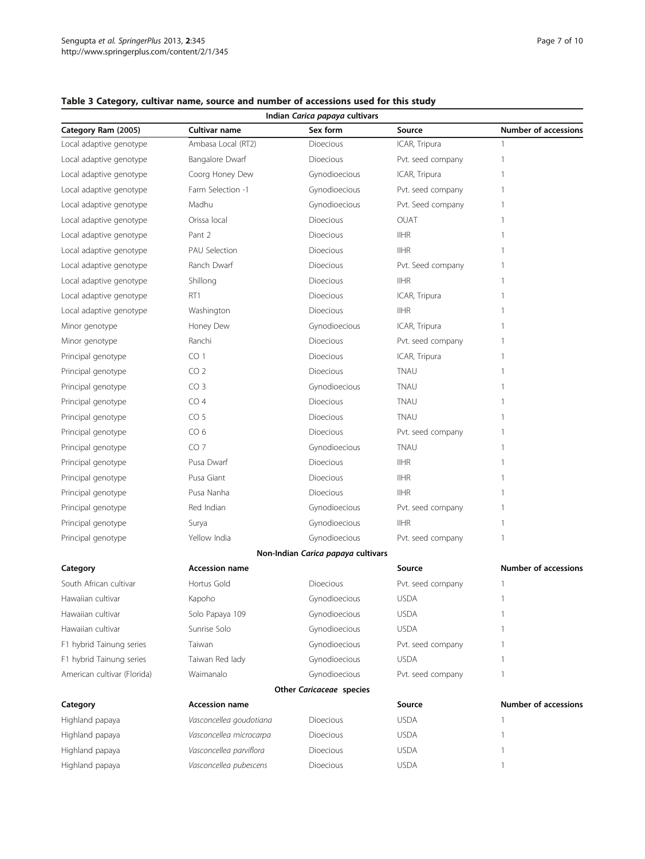|                             |                         | Indian Carica papaya cultivars     |                   |                             |
|-----------------------------|-------------------------|------------------------------------|-------------------|-----------------------------|
| Category Ram (2005)         | Cultivar name           | Sex form                           | Source            | <b>Number of accessions</b> |
| Local adaptive genotype     | Ambasa Local (RT2)      | Dioecious                          | ICAR, Tripura     | 1                           |
| Local adaptive genotype     | Bangalore Dwarf         | Dioecious                          | Pvt. seed company | 1                           |
| Local adaptive genotype     | Coorg Honey Dew         | Gynodioecious                      | ICAR, Tripura     | 1                           |
| Local adaptive genotype     | Farm Selection -1       | Gynodioecious                      | Pvt. seed company | 1                           |
| Local adaptive genotype     | Madhu                   | Gynodioecious                      | Pvt. Seed company | 1                           |
| Local adaptive genotype     | Orissa local            | Dioecious                          | OUAT              | 1                           |
| Local adaptive genotype     | Pant 2                  | Dioecious                          | <b>IIHR</b>       | 1                           |
| Local adaptive genotype     | <b>PAU Selection</b>    | Dioecious                          | <b>IIHR</b>       | 1                           |
| Local adaptive genotype     | Ranch Dwarf             | Dioecious                          | Pvt. Seed company | 1                           |
| Local adaptive genotype     | Shillong                | Dioecious                          | <b>IIHR</b>       | 1                           |
| Local adaptive genotype     | RT1                     | Dioecious                          | ICAR, Tripura     | 1                           |
| Local adaptive genotype     | Washington              | Dioecious                          | <b>IIHR</b>       | 1                           |
| Minor genotype              | Honey Dew               | Gynodioecious                      | ICAR, Tripura     | 1                           |
| Minor genotype              | Ranchi                  | Dioecious                          | Pvt. seed company | 1                           |
| Principal genotype          | CO <sub>1</sub>         | Dioecious                          | ICAR, Tripura     | 1                           |
| Principal genotype          | CO <sub>2</sub>         | Dioecious                          | TNAU              | 1                           |
| Principal genotype          | CO <sub>3</sub>         | Gynodioecious                      | <b>TNAU</b>       | 1                           |
| Principal genotype          | CO <sub>4</sub>         | Dioecious                          | <b>TNAU</b>       | 1                           |
| Principal genotype          | CO <sub>5</sub>         | Dioecious                          | <b>TNAU</b>       | 1                           |
| Principal genotype          | CO <sub>6</sub>         | Dioecious                          | Pvt. seed company | 1                           |
| Principal genotype          | CO <sub>7</sub>         | Gynodioecious                      | <b>TNAU</b>       | 1                           |
| Principal genotype          | Pusa Dwarf              | Dioecious                          | <b>IIHR</b>       | 1                           |
| Principal genotype          | Pusa Giant              | Dioecious                          | <b>IIHR</b>       | 1                           |
| Principal genotype          | Pusa Nanha              | Dioecious                          | <b>IIHR</b>       | 1                           |
| Principal genotype          | Red Indian              | Gynodioecious                      | Pvt. seed company | 1                           |
| Principal genotype          | Surya                   | Gynodioecious                      | <b>IIHR</b>       | 1                           |
| Principal genotype          | Yellow India            | Gynodioecious                      | Pvt. seed company | 1                           |
|                             |                         | Non-Indian Carica papaya cultivars |                   |                             |
| Category                    | <b>Accession name</b>   |                                    | Source            | <b>Number of accessions</b> |
| South African cultivar      | Hortus Gold             | Dioecious                          | Pvt. seed company | $\overline{1}$              |
| Hawaiian cultivar           | Kapoho                  | Gynodioecious                      | <b>USDA</b>       | 1                           |
| Hawaiian cultivar           | Solo Papaya 109         | Gynodioecious                      | <b>USDA</b>       | 1                           |
| Hawaiian cultivar           | Sunrise Solo            | Gynodioecious                      | <b>USDA</b>       | 1                           |
| F1 hybrid Tainung series    | Taiwan                  | Gynodioecious                      | Pvt. seed company | 1                           |
| F1 hybrid Tainung series    | Taiwan Red lady         | Gynodioecious                      | <b>USDA</b>       | 1                           |
| American cultivar (Florida) | Waimanalo               | Gynodioecious                      | Pvt. seed company | 1                           |
|                             |                         | Other Caricaceae species           |                   |                             |
| Category                    | <b>Accession name</b>   |                                    | Source            | <b>Number of accessions</b> |
| Highland papaya             | Vasconcellea goudotiana | Dioecious                          | <b>USDA</b>       | 1                           |
| Highland papaya             | Vasconcellea microcarpa | Dioecious                          | <b>USDA</b>       | 1                           |
| Highland papaya             | Vasconcellea parviflora | Dioecious                          | <b>USDA</b>       | 1                           |
| Highland papaya             | Vasconcellea pubescens  | Dioecious                          | <b>USDA</b>       | $\overline{1}$              |

## <span id="page-6-0"></span>Table 3 Category, cultivar name, source and number of accessions used for this study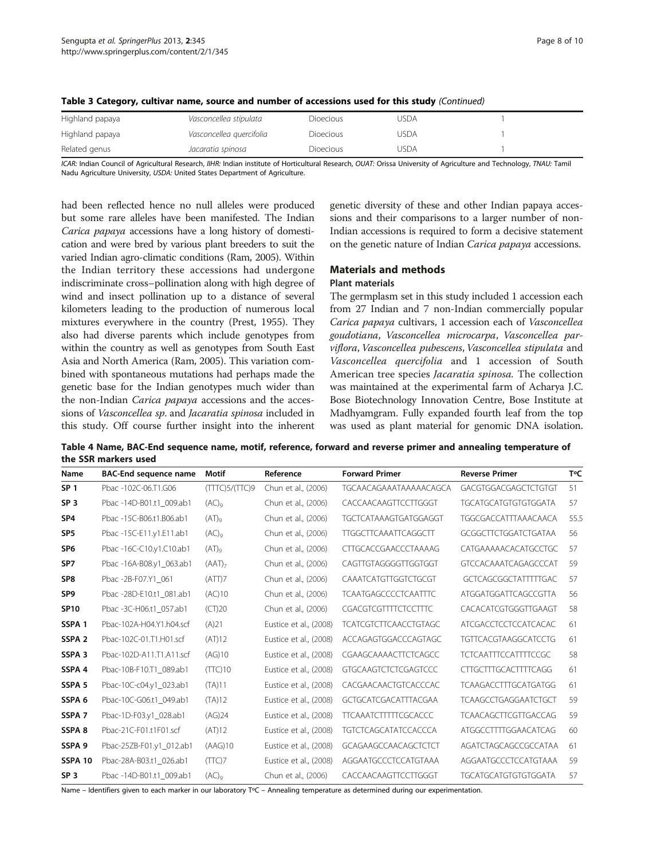| Highland papaya | Vasconcellea stipulata   | <b>Dioecious</b> | JSDA |  |
|-----------------|--------------------------|------------------|------|--|
| Highland papaya | Vasconcellea guercifolia | <b>Dioecious</b> | usda |  |
| Related genus   | Jacaratia spinosa        | <b>Dioecious</b> | usda |  |

<span id="page-7-0"></span>

|  |  | Table 3 Category, cultivar name, source and number of accessions used for this study (Continued) |  |  |  |
|--|--|--------------------------------------------------------------------------------------------------|--|--|--|
|--|--|--------------------------------------------------------------------------------------------------|--|--|--|

ICAR: Indian Council of Agricultural Research, IIHR: Indian institute of Horticultural Research, OUAT: Orissa University of Agriculture and Technology, TNAU: Tamil Nadu Agriculture University, USDA: United States Department of Agriculture.

had been reflected hence no null alleles were produced but some rare alleles have been manifested. The Indian Carica papaya accessions have a long history of domestication and were bred by various plant breeders to suit the varied Indian agro-climatic conditions (Ram, [2005\)](#page-9-0). Within the Indian territory these accessions had undergone indiscriminate cross–pollination along with high degree of wind and insect pollination up to a distance of several kilometers leading to the production of numerous local mixtures everywhere in the country (Prest, [1955\)](#page-9-0). They also had diverse parents which include genotypes from within the country as well as genotypes from South East Asia and North America (Ram, [2005\)](#page-9-0). This variation combined with spontaneous mutations had perhaps made the genetic base for the Indian genotypes much wider than the non-Indian Carica papaya accessions and the accessions of Vasconcellea sp. and Jacaratia spinosa included in this study. Off course further insight into the inherent

genetic diversity of these and other Indian papaya accessions and their comparisons to a larger number of non-Indian accessions is required to form a decisive statement on the genetic nature of Indian Carica papaya accessions.

## Materials and methods

#### Plant materials

The germplasm set in this study included 1 accession each from 27 Indian and 7 non-Indian commercially popular Carica papaya cultivars, 1 accession each of Vasconcellea goudotiana, Vasconcellea microcarpa, Vasconcellea parviflora, Vasconcellea pubescens, Vasconcellea stipulata and Vasconcellea quercifolia and 1 accession of South American tree species Jacaratia spinosa. The collection was maintained at the experimental farm of Acharya J.C. Bose Biotechnology Innovation Centre, Bose Institute at Madhyamgram. Fully expanded fourth leaf from the top was used as plant material for genomic DNA isolation.

Table 4 Name, BAC-End sequence name, motif, reference, forward and reverse primer and annealing temperature of the SSR markers used

| Name              | <b>BAC-End sequence name</b> | Motif          | Reference              | <b>Forward Primer</b>        | <b>Reverse Primer</b>       | TOC  |
|-------------------|------------------------------|----------------|------------------------|------------------------------|-----------------------------|------|
| SP <sub>1</sub>   | Pbac -102C-06.T1.G06         | (TTTC)5/(TTC)9 | Chun et al., (2006)    | TGCAACAGAAATAAAAACAGCA       | GACGTGGACGAGCTCTGTGT        | 51   |
| SP <sub>3</sub>   | Pbac -14D-B01.t1_009.ab1     | $(AC)_{Q}$     | Chun et al., (2006)    | CACCAACAAGTTCCTTGGGT         | <b>TGCATGCATGTGTGTGGATA</b> | 57   |
| SP <sub>4</sub>   | Pbac -15C-B06.t1.B06.ab1     | $(AT)_{9}$     | Chun et al., (2006)    | TGCTCATAAAGTGATGGAGGT        | <b>TGGCGACCATTTAAACAACA</b> | 55.5 |
| SP <sub>5</sub>   | Pbac -15C-E11.y1.E11.ab1     | $(AC)_{9}$     | Chun et al., (2006)    | <b>TTGGCTTCAAATTCAGGCTT</b>  | <b>GCGGCTTCTGGATCTGATAA</b> | 56   |
| SP <sub>6</sub>   | Pbac -16C-C10.y1.C10.ab1     | $(AT)_{\rm Q}$ | Chun et al., (2006)    | CTTGCACCGAACCCTAAAAG         | CATGAAAAACACATGCCTGC        | 57   |
| SP <sub>7</sub>   | Pbac -16A-B08.y1 063.ab1     | $(AAT)_{7}$    | Chun et al., (2006)    | CAGTTGTAGGGGTTGGTGGT         | <b>GTCCACAAATCAGAGCCCAT</b> | 59   |
| SP <sub>8</sub>   | Pbac -2B-F07.Y1 061          | (ATT)7         | Chun et al., (2006)    | CAAATCATGTTGGTCTGCGT         | <b>GCTCAGCGGCTATTTTGAC</b>  | 57   |
| SP <sub>9</sub>   | Pbac -28D-E10.t1_081.ab1     | (AC)10         | Chun et al., (2006)    | <b>TCAATGAGCCCCTCAATTTC</b>  | ATGGATGGATTCAGCCGTTA        | 56   |
| <b>SP10</b>       | Pbac -3C-H06.t1 057.ab1      | (CT)20         | Chun et al., (2006)    | CGACGTCGTTTTCTCCTTTC         | CACACATCGTGGGTTGAAGT        | 58   |
| SSPA <sub>1</sub> | Pbac-102A-H04.Y1.h04.scf     | (A)21          | Eustice et al., (2008) | <b>TCATCGTCTTCAACCTGTAGC</b> | <b>ATCGACCTCCTCCATCACAC</b> | 61   |
| SSPA <sub>2</sub> | Pbac-102C-01.T1.H01.scf      | (AT)12         | Eustice et al., (2008) | ACCAGAGTGGACCCAGTAGC         | <b>TGTTCACGTAAGGCATCCTG</b> | 61   |
| SSPA <sub>3</sub> | Pbac-102D-A11.T1.A11.scf     | (AG)10         | Eustice et al., (2008) | CGAAGCAAAACTTCTCAGCC         | <b>TCTCAATTTCCATTTTCCGC</b> | 58   |
| SSPA 4            | Pbac-10B-F10.T1 089.ab1      | (TTC)10        | Eustice et al., (2008) | <b>GTGCAAGTCTCTCGAGTCCC</b>  | <b>CTTGCTTTGCACTTTTCAGG</b> | 61   |
| SSPA 5            | Pbac-10C-c04.y1_023.ab1      | (TA)11         | Eustice et al., (2008) | CACGAACAACTGTCACCCAC         | <b>TCAAGACCTTTGCATGATGG</b> | 61   |
| SSPA 6            | Pbac-10C-G06.t1_049.ab1      | (TA)12         | Eustice et al., (2008) | <b>GCTGCATCGACATTTACGAA</b>  | <b>TCAAGCCTGAGGAATCTGCT</b> | 59   |
| SSPA 7            | Pbac-1D-F03.y1_028.ab1       | (AG)24         | Eustice et al., (2008) | <b>TTCAAATCTTTTTCGCACCC</b>  | TCAACAGCTTCGTTGACCAG        | 59   |
| SSPA 8            | Pbac-21C-F01.t1F01.scf       | (AT)12         | Eustice et al., (2008) | <b>TGTCTCAGCATATCCACCCA</b>  | ATGGCCTTTTGGAACATCAG        | 60   |
| SSPA <sub>9</sub> | Pbac-25ZB-F01.y1_012.ab1     | (AAG)10        | Eustice et al., (2008) | <b>GCAGAAGCCAACAGCTCTCT</b>  | AGATCTAGCAGCCGCCATAA        | 61   |
| <b>SSPA 10</b>    | Pbac-28A-B03.t1 026.ab1      | (TTC)7         | Eustice et al., (2008) | AGGAATGCCCTCCATGTAAA         | AGGAATGCCCTCCATGTAAA        | 59   |
| SP <sub>3</sub>   | Pbac -14D-B01.t1_009.ab1     | $(AC)_{Q}$     | Chun et al., (2006)    | CACCAACAAGTTCCTTGGGT         | <b>TGCATGCATGTGTGTGGATA</b> | 57   |

Name – Identifiers given to each marker in our laboratory TºC – Annealing temperature as determined during our experimentation.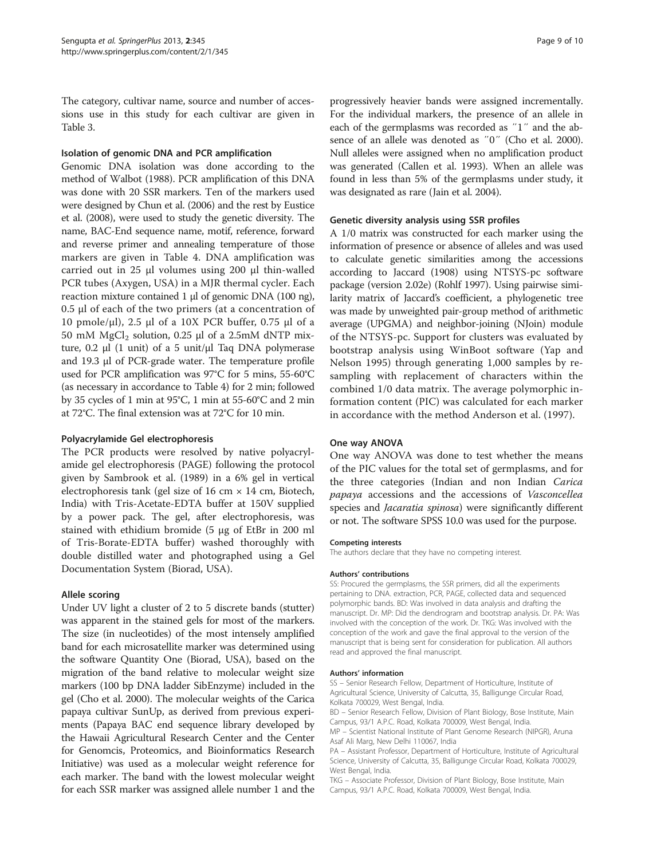The category, cultivar name, source and number of accessions use in this study for each cultivar are given in Table [3.](#page-6-0)

#### Isolation of genomic DNA and PCR amplification

Genomic DNA isolation was done according to the method of Walbot [\(1988](#page-9-0)). PCR amplification of this DNA was done with 20 SSR markers. Ten of the markers used were designed by Chun et al. [\(2006](#page-9-0)) and the rest by Eustice et al. [\(2008](#page-9-0)), were used to study the genetic diversity. The name, BAC-End sequence name, motif, reference, forward and reverse primer and annealing temperature of those markers are given in Table [4](#page-7-0). DNA amplification was carried out in 25 μl volumes using 200 μl thin-walled PCR tubes (Axygen, USA) in a MJR thermal cycler. Each reaction mixture contained 1 μl of genomic DNA (100 ng), 0.5 μl of each of the two primers (at a concentration of 10 pmole/μl), 2.5 μl of a 10X PCR buffer, 0.75 μl of a 50 mM  $MgCl<sub>2</sub>$  solution, 0.25 μl of a 2.5mM dNTP mixture, 0.2 μl (1 unit) of a 5 unit/μl Taq DNA polymerase and 19.3 μl of PCR-grade water. The temperature profile used for PCR amplification was 97°C for 5 mins, 55-60°C (as necessary in accordance to Table [4\)](#page-7-0) for 2 min; followed by 35 cycles of 1 min at 95°C, 1 min at 55-60°C and 2 min at 72°C. The final extension was at 72°C for 10 min.

#### Polyacrylamide Gel electrophoresis

The PCR products were resolved by native polyacrylamide gel electrophoresis (PAGE) following the protocol given by Sambrook et al. ([1989](#page-9-0)) in a 6% gel in vertical electrophoresis tank (gel size of 16 cm  $\times$  14 cm, Biotech, India) with Tris-Acetate-EDTA buffer at 150V supplied by a power pack. The gel, after electrophoresis, was stained with ethidium bromide (5 μg of EtBr in 200 ml of Tris-Borate-EDTA buffer) washed thoroughly with double distilled water and photographed using a Gel Documentation System (Biorad, USA).

#### Allele scoring

Under UV light a cluster of 2 to 5 discrete bands (stutter) was apparent in the stained gels for most of the markers. The size (in nucleotides) of the most intensely amplified band for each microsatellite marker was determined using the software Quantity One (Biorad, USA), based on the migration of the band relative to molecular weight size markers (100 bp DNA ladder SibEnzyme) included in the gel (Cho et al. [2000](#page-9-0)). The molecular weights of the Carica papaya cultivar SunUp, as derived from previous experiments (Papaya BAC end sequence library developed by the Hawaii Agricultural Research Center and the Center for Genomcis, Proteomics, and Bioinformatics Research Initiative) was used as a molecular weight reference for each marker. The band with the lowest molecular weight for each SSR marker was assigned allele number 1 and the

progressively heavier bands were assigned incrementally. For the individual markers, the presence of an allele in each of the germplasms was recorded as ″1″ and the absence of an allele was denoted as ″0″ (Cho et al. [2000](#page-9-0)). Null alleles were assigned when no amplification product was generated (Callen et al. [1993](#page-9-0)). When an allele was found in less than 5% of the germplasms under study, it was designated as rare (Jain et al. [2004](#page-9-0)).

### Genetic diversity analysis using SSR profiles

A 1/0 matrix was constructed for each marker using the information of presence or absence of alleles and was used to calculate genetic similarities among the accessions according to Jaccard [\(1908](#page-9-0)) using NTSYS-pc software package (version 2.02e) (Rohlf [1997](#page-9-0)). Using pairwise similarity matrix of Jaccard's coefficient, a phylogenetic tree was made by unweighted pair-group method of arithmetic average (UPGMA) and neighbor-joining (NJoin) module of the NTSYS-pc. Support for clusters was evaluated by bootstrap analysis using WinBoot software (Yap and Nelson [1995](#page-9-0)) through generating 1,000 samples by resampling with replacement of characters within the combined 1/0 data matrix. The average polymorphic information content (PIC) was calculated for each marker in accordance with the method Anderson et al. ([1997\)](#page-9-0).

#### One way ANOVA

One way ANOVA was done to test whether the means of the PIC values for the total set of germplasms, and for the three categories (Indian and non Indian Carica papaya accessions and the accessions of Vasconcellea species and *Jacaratia spinosa*) were significantly different or not. The software SPSS 10.0 was used for the purpose.

#### Competing interests

The authors declare that they have no competing interest.

#### Authors' contributions

SS: Procured the germplasms, the SSR primers, did all the experiments pertaining to DNA. extraction, PCR, PAGE, collected data and sequenced polymorphic bands. BD: Was involved in data analysis and drafting the manuscript. Dr. MP: Did the dendrogram and bootstrap analysis. Dr. PA: Was involved with the conception of the work. Dr. TKG: Was involved with the conception of the work and gave the final approval to the version of the manuscript that is being sent for consideration for publication. All authors read and approved the final manuscript.

#### Authors' information

SS – Senior Research Fellow, Department of Horticulture, Institute of Agricultural Science, University of Calcutta, 35, Balligunge Circular Road, Kolkata 700029, West Bengal, India.

BD – Senior Research Fellow, Division of Plant Biology, Bose Institute, Main Campus, 93/1 A.P.C. Road, Kolkata 700009, West Bengal, India.

MP – Scientist National Institute of Plant Genome Research (NIPGR), Aruna Asaf Ali Marg, New Delhi 110067, India

PA – Assistant Professor, Department of Horticulture, Institute of Agricultural Science, University of Calcutta, 35, Balligunge Circular Road, Kolkata 700029, West Bengal, India.

TKG – Associate Professor, Division of Plant Biology, Bose Institute, Main Campus, 93/1 A.P.C. Road, Kolkata 700009, West Bengal, India.